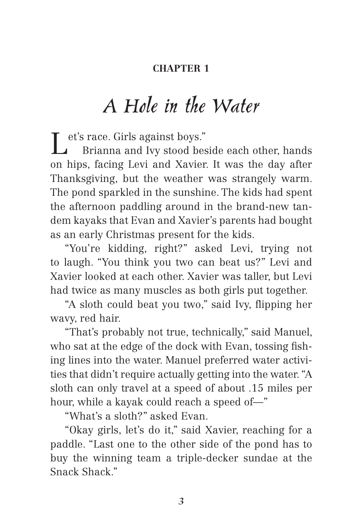## **CHAPTER 1**

## *A Hole in the Water*

Let's race. Girls against boys."

Brianna and Ivy stood beside each other, hands on hips, facing Levi and Xavier. It was the day after Thanksgiving, but the weather was strangely warm. The pond sparkled in the sunshine. The kids had spent the afternoon paddling around in the brand-new tandem kayaks that Evan and Xavier's parents had bought as an early Christmas present for the kids.

"You're kidding, right?" asked Levi, trying not to laugh. "You think you two can beat us?" Levi and Xavier looked at each other. Xavier was taller, but Levi had twice as many muscles as both girls put together.

"A sloth could beat you two," said Ivy, flipping her wavy, red hair.

"That's probably not true, technically," said Manuel, who sat at the edge of the dock with Evan, tossing fishing lines into the water. Manuel preferred water activities that didn't require actually getting into the water. "A sloth can only travel at a speed of about .15 miles per hour, while a kayak could reach a speed of—"

"What's a sloth?" asked Evan.

"Okay girls, let's do it," said Xavier, reaching for a paddle. "Last one to the other side of the pond has to buy the winning team a triple-decker sundae at the Snack Shack."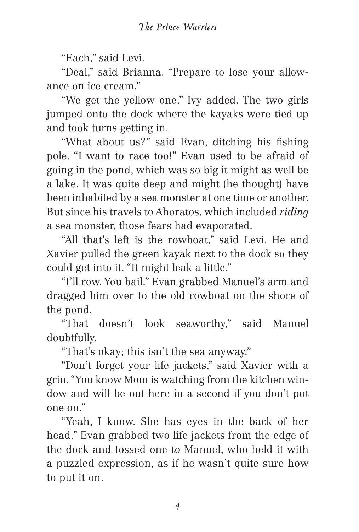"Each," said Levi.

"Deal," said Brianna. "Prepare to lose your allowance on ice cream."

"We get the yellow one," Ivy added. The two girls jumped onto the dock where the kayaks were tied up and took turns getting in.

"What about us?" said Evan, ditching his fishing pole. "I want to race too!" Evan used to be afraid of going in the pond, which was so big it might as well be a lake. It was quite deep and might (he thought) have been inhabited by a sea monster at one time or another. But since his travels to Ahoratos, which included *riding* a sea monster, those fears had evaporated.

"All that's left is the rowboat," said Levi. He and Xavier pulled the green kayak next to the dock so they could get into it. "It might leak a little."

"I'll row. You bail." Evan grabbed Manuel's arm and dragged him over to the old rowboat on the shore of the pond.

"That doesn't look seaworthy," said Manuel doubtfully.

"That's okay; this isn't the sea anyway."

"Don't forget your life jackets," said Xavier with a grin. "You know Mom is watching from the kitchen window and will be out here in a second if you don't put one on."

"Yeah, I know. She has eyes in the back of her head." Evan grabbed two life jackets from the edge of the dock and tossed one to Manuel, who held it with a puzzled expression, as if he wasn't quite sure how to put it on.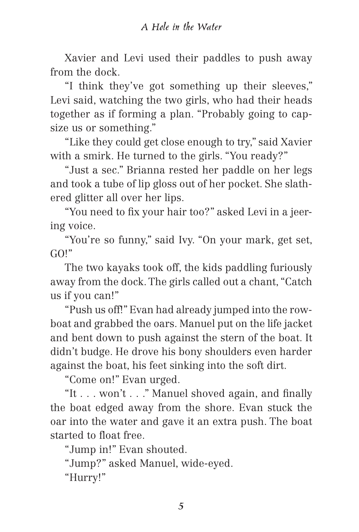Xavier and Levi used their paddles to push away from the dock.

"I think they've got something up their sleeves," Levi said, watching the two girls, who had their heads together as if forming a plan. "Probably going to capsize us or something."

"Like they could get close enough to try," said Xavier with a smirk. He turned to the girls. "You ready?"

"Just a sec." Brianna rested her paddle on her legs and took a tube of lip gloss out of her pocket. She slathered glitter all over her lips.

"You need to fix your hair too?" asked Levi in a jeering voice.

"You're so funny," said Ivy. "On your mark, get set,  $GO!"$ 

The two kayaks took off, the kids paddling furiously away from the dock. The girls called out a chant, "Catch us if you can!"

"Push us off!" Evan had already jumped into the rowboat and grabbed the oars. Manuel put on the life jacket and bent down to push against the stern of the boat. It didn't budge. He drove his bony shoulders even harder against the boat, his feet sinking into the soft dirt.

"Come on!" Evan urged.

"It . . . won't . . ." Manuel shoved again, and finally the boat edged away from the shore. Evan stuck the oar into the water and gave it an extra push. The boat started to float free.

"Jump in!" Evan shouted.

"Jump?" asked Manuel, wide-eyed.

"Hurry!"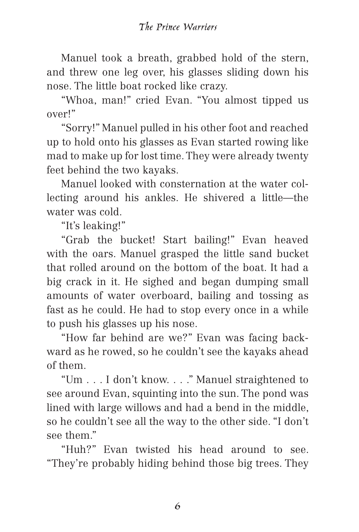Manuel took a breath, grabbed hold of the stern, and threw one leg over, his glasses sliding down his nose. The little boat rocked like crazy.

"Whoa, man!" cried Evan. "You almost tipped us over!"

"Sorry!" Manuel pulled in his other foot and reached up to hold onto his glasses as Evan started rowing like mad to make up for lost time. They were already twenty feet behind the two kayaks.

Manuel looked with consternation at the water collecting around his ankles. He shivered a little—the water was cold.

"It's leaking!"

"Grab the bucket! Start bailing!" Evan heaved with the oars. Manuel grasped the little sand bucket that rolled around on the bottom of the boat. It had a big crack in it. He sighed and began dumping small amounts of water overboard, bailing and tossing as fast as he could. He had to stop every once in a while to push his glasses up his nose.

"How far behind are we?" Evan was facing backward as he rowed, so he couldn't see the kayaks ahead of them.

"Um . . . I don't know. . . ." Manuel straightened to see around Evan, squinting into the sun. The pond was lined with large willows and had a bend in the middle, so he couldn't see all the way to the other side. "I don't see them."

"Huh?" Evan twisted his head around to see. "They're probably hiding behind those big trees. They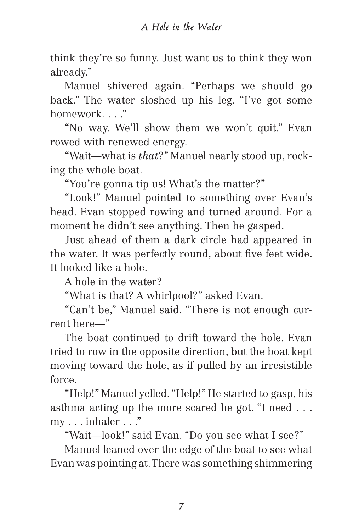think they're so funny. Just want us to think they won already."

Manuel shivered again. "Perhaps we should go back." The water sloshed up his leg. "I've got some homework...."

"No way. We'll show them we won't quit." Evan rowed with renewed energy.

"Wait—what is *that*?" Manuel nearly stood up, rocking the whole boat.

"You're gonna tip us! What's the matter?"

"Look!" Manuel pointed to something over Evan's head. Evan stopped rowing and turned around. For a moment he didn't see anything. Then he gasped.

Just ahead of them a dark circle had appeared in the water. It was perfectly round, about five feet wide. It looked like a hole.

A hole in the water?

"What is that? A whirlpool?" asked Evan.

"Can't be," Manuel said. "There is not enough current here—"

The boat continued to drift toward the hole. Evan tried to row in the opposite direction, but the boat kept moving toward the hole, as if pulled by an irresistible force.

"Help!" Manuel yelled. "Help!" He started to gasp, his asthma acting up the more scared he got. "I need . . . my . . . inhaler . . ."

"Wait—look!" said Evan. "Do you see what I see?"

Manuel leaned over the edge of the boat to see what Evan was pointing at. There was something shimmering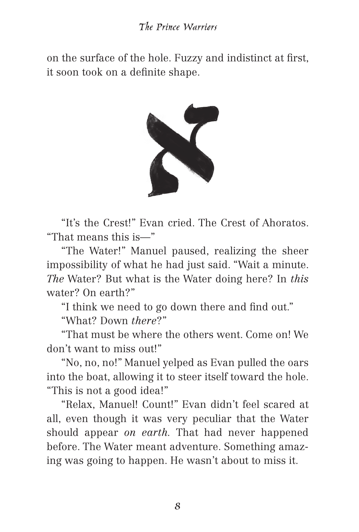## *The Prince Warriors*

on the surface of the hole. Fuzzy and indistinct at first, it soon took on a definite shape.



"It's the Crest!" Evan cried. The Crest of Ahoratos. "That means this is—"

"The Water!" Manuel paused, realizing the sheer impossibility of what he had just said. "Wait a minute. *The* Water? But what is the Water doing here? In *this* water? On earth?"

"I think we need to go down there and find out."

"What? Down *there*?"

"That must be where the others went. Come on! We don't want to miss out!"

"No, no, no!" Manuel yelped as Evan pulled the oars into the boat, allowing it to steer itself toward the hole. "This is not a good idea!"

"Relax, Manuel! Count!" Evan didn't feel scared at all, even though it was very peculiar that the Water should appear *on earth.* That had never happened before. The Water meant adventure. Something amazing was going to happen. He wasn't about to miss it.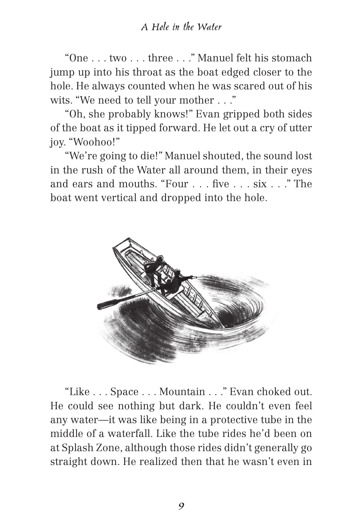"One . . . two . . . three . . ." Manuel felt his stomach jump up into his throat as the boat edged closer to the hole. He always counted when he was scared out of his wits. "We need to tell your mother . . ."

"Oh, she probably knows!" Evan gripped both sides of the boat as it tipped forward. He let out a cry of utter joy. "Woohoo!"

"We're going to die!" Manuel shouted, the sound lost in the rush of the Water all around them, in their eyes and ears and mouths. "Four . . . five . . . six . . ." The boat went vertical and dropped into the hole.



"Like . . . Space . . . Mountain . . ." Evan choked out. He could see nothing but dark. He couldn't even feel any water—it was like being in a protective tube in the middle of a waterfall. Like the tube rides he'd been on at Splash Zone, although those rides didn't generally go straight down. He realized then that he wasn't even in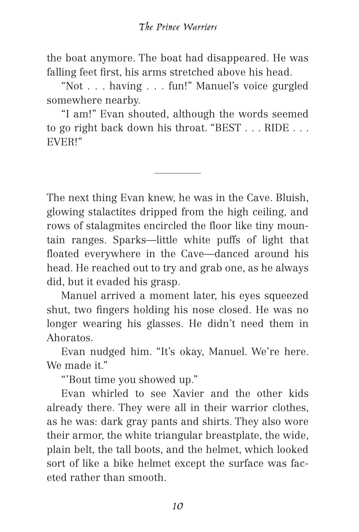the boat anymore. The boat had disappeared. He was falling feet first, his arms stretched above his head.

"Not . . . having . . . fun!" Manuel's voice gurgled somewhere nearby.

"I am!" Evan shouted, although the words seemed to go right back down his throat. "BEST . . . RIDE . . . EVER!"

The next thing Evan knew, he was in the Cave. Bluish, glowing stalactites dripped from the high ceiling, and rows of stalagmites encircled the floor like tiny mountain ranges. Sparks—little white puffs of light that floated everywhere in the Cave—danced around his head. He reached out to try and grab one, as he always did, but it evaded his grasp.

Manuel arrived a moment later, his eyes squeezed shut, two fingers holding his nose closed. He was no longer wearing his glasses. He didn't need them in Ahoratos.

Evan nudged him. "It's okay, Manuel. We're here. We made it."

"'Bout time you showed up."

Evan whirled to see Xavier and the other kids already there. They were all in their warrior clothes, as he was: dark gray pants and shirts. They also wore their armor, the white triangular breastplate, the wide, plain belt, the tall boots, and the helmet, which looked sort of like a bike helmet except the surface was faceted rather than smooth.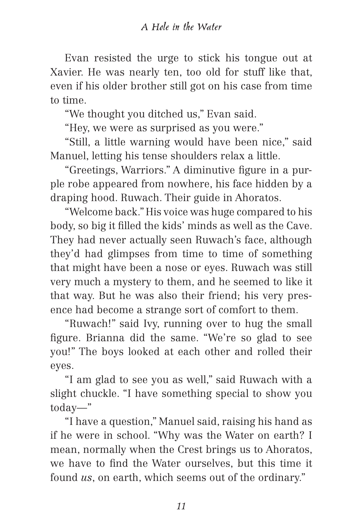Evan resisted the urge to stick his tongue out at Xavier. He was nearly ten, too old for stuff like that, even if his older brother still got on his case from time to time.

"We thought you ditched us," Evan said.

"Hey, we were as surprised as you were."

"Still, a little warning would have been nice," said Manuel, letting his tense shoulders relax a little.

"Greetings, Warriors." A diminutive figure in a purple robe appeared from nowhere, his face hidden by a draping hood. Ruwach. Their guide in Ahoratos.

"Welcome back." His voice was huge compared to his body, so big it filled the kids' minds as well as the Cave. They had never actually seen Ruwach's face, although they'd had glimpses from time to time of something that might have been a nose or eyes. Ruwach was still very much a mystery to them, and he seemed to like it that way. But he was also their friend; his very presence had become a strange sort of comfort to them.

"Ruwach!" said Ivy, running over to hug the small figure. Brianna did the same. "We're so glad to see you!" The boys looked at each other and rolled their eyes.

"I am glad to see you as well," said Ruwach with a slight chuckle. "I have something special to show you today—"

"I have a question," Manuel said, raising his hand as if he were in school. "Why was the Water on earth? I mean, normally when the Crest brings us to Ahoratos, we have to find the Water ourselves, but this time it found *us*, on earth, which seems out of the ordinary."